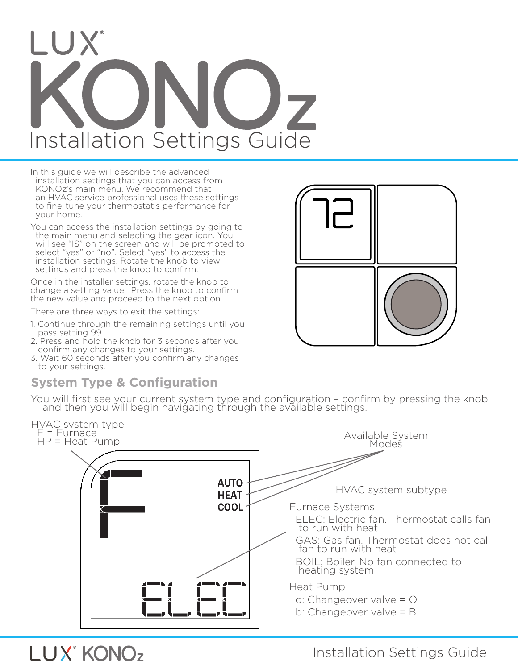# I UX Installation Settings Guide

In this guide we will describe the advanced installation settings that you can access from KONOz's main menu. We recommend that an HVAC service professional uses these settings to fine-tune your thermostat's performance for your home.

You can access the installation settings by going to the main menu and selecting the gear icon. You will see "IS" on the screen and will be prompted to select "yes" or "no". Select "yes" to access the installation settings. Rotate the knob to view settings and press the knob to confirm.

Once in the installer settings, rotate the knob to change a setting value. Press the knob to confirm the new value and proceed to the next option.

There are three ways to exit the settings:

- 1. Continue through the remaining settings until you pass setting 99.
- 2. Press and hold the knob for 3 seconds after you confirm any changes to your settings.
- 3. Wait 60 seconds after you confirm any changes to your settings.

## **System Type & Configuration**

LUX<sup>®</sup> KONOz





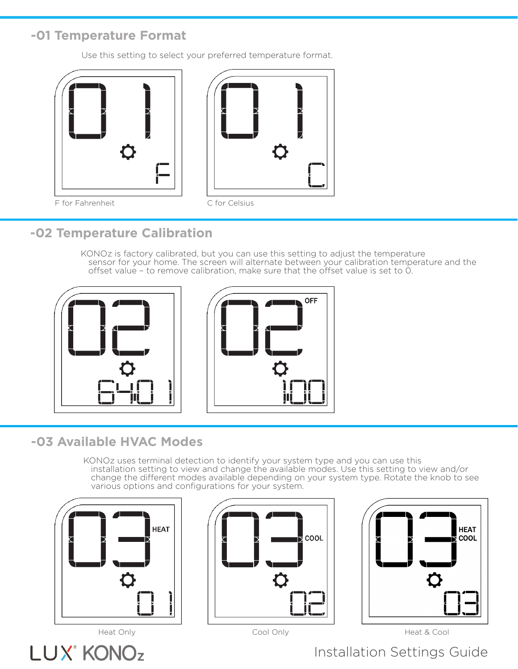### **-01 Temperature Format**

Use this setting to select your preferred temperature format.





F for Fahrenheit C for Celsius



## **-02 Temperature Calibration**

KONOz is factory calibrated, but you can use this setting to adjust the temperature sensor for your home. The screen will alternate between your calibration temperature and the offset value – to remove calibration, make sure that the offset value is set to 0.



# **-03 Available HVAC Modes**

KONOz uses terminal detection to identify your system type and you can use this installation setting to view and change the available modes. Use this setting to view and/or change the different modes available depending on your system type. Rotate the knob to see various options and configurations for your system.



LUX<sup>®</sup> KONO<sub>z</sub>





Cool Only

Heat Only **Heat & Cool Only Cool Only Cool** Only **Heat & Cool**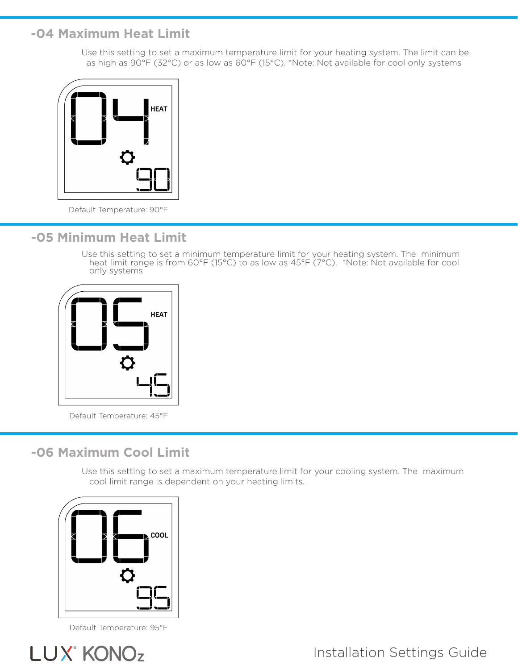#### **-04 Maximum Heat Limit**

Use this setting to set a maximum temperature limit for your heating system. The limit can be as high as 90°F (32°C) or as low as 60°F (15°C). \*Note: Not available for cool only systems



Default Temperature: 90°F

#### **-05 Minimum Heat Limit**

Use this setting to set a minimum temperature limit for your heating system. The minimum heat limit range is from 60°F (15°C) to as low as 45°F (7°C). \*Note: Not available for cool only systems



Default Temperature: 45°F

#### **-06 Maximum Cool Limit**

Use this setting to set a maximum temperature limit for your cooling system. The maximum cool limit range is dependent on your heating limits.



Default Temperature: 95°F

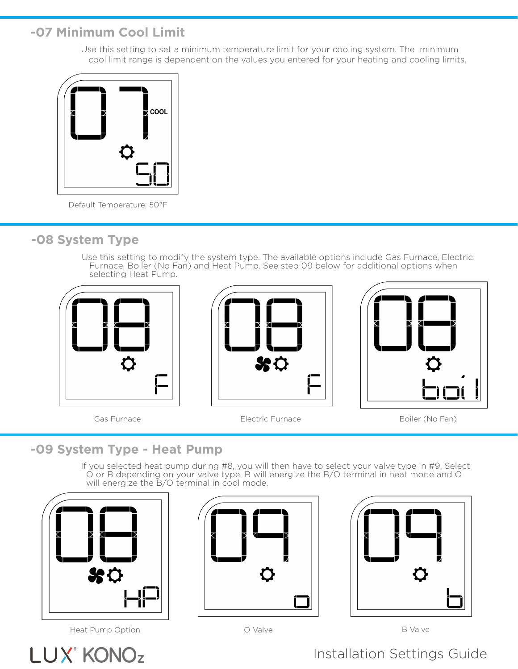## **-07 Minimum Cool Limit**

Use this setting to set a minimum temperature limit for your cooling system. The minimum cool limit range is dependent on the values you entered for your heating and cooling limits.



Default Temperature: 50°F

### **-08 System Type**

Use this setting to modify the system type. The available options include Gas Furnace, Electric Furnace, Boiler (No Fan) and Heat Pump. See step 09 below for additional options when selecting Heat Pump.











## **-09 System Type - Heat Pump**

If you selected heat pump during #8, you will then have to select your valve type in #9. Select O or B depending on your valve type. B will energize the B/O terminal in heat mode and O will energize the B/O terminal in cool mode.



Heat Pump Option **B** Valve **B** Valve **B** Valve





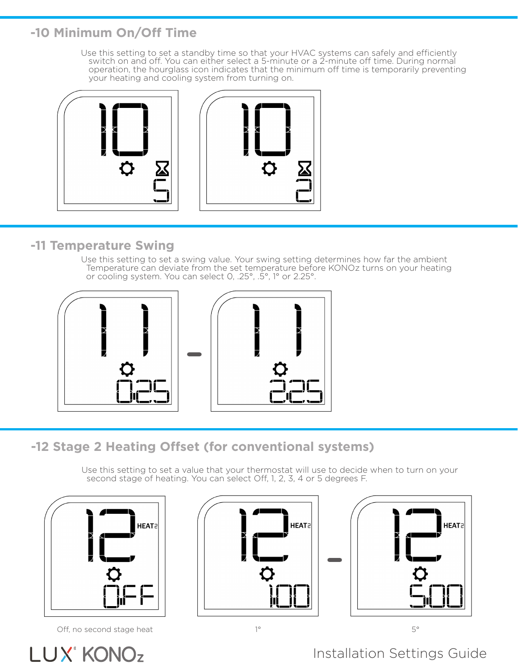## **-10 Minimum On/Off Time**

Use this setting to set a standby time so that your HVAC systems can safely and efficiently switch on and off. You can either select a 5-minute or a 2-minute off time. During normal operation, the hourglass icon indicates that the minimum off time is temporarily preventing your heating and cooling system from turning on.



## **-11 Temperature Swing**

Use this setting to set a swing value. Your swing setting determines how far the ambient Temperature can deviate from the set temperature before KONOz turns on your heating or cooling system. You can select 0, .25°, .5°, 1° or 2.25°.



# **-12 Stage 2 Heating Offset (for conventional systems)**

Use this setting to set a value that your thermostat will use to decide when to turn on your second stage of heating. You can select Off, 1, 2, 3, 4 or 5 degrees F.



Off, no second stage heat 1° 5°





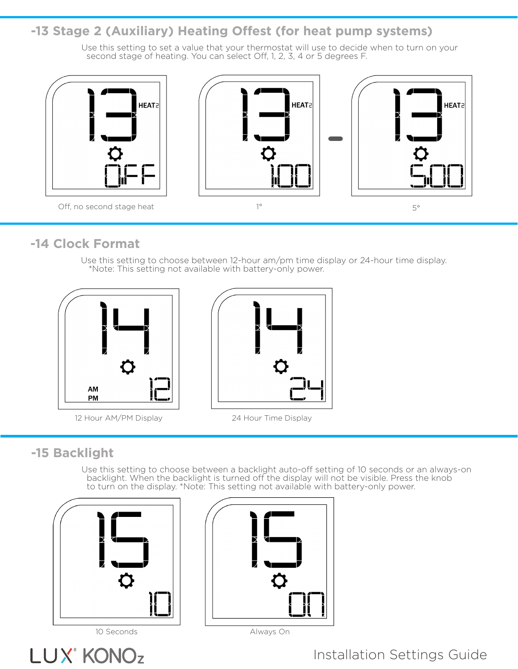#### **-13 Stage 2 (Auxiliary) Heating Offest (for heat pump systems)**

Use this setting to set a value that your thermostat will use to decide when to turn on your second stage of heating. You can select Off, 1, 2, 3, 4 or 5 degrees F.



### **-14 Clock Format**

Use this setting to choose between 12-hour am/pm time display or 24-hour time display. \*Note: This setting not available with battery-only power.



12 Hour AM/PM Display 24 Hour Time Display



# **-15 Backlight**

Use this setting to choose between a backlight auto-off setting of 10 seconds or an always-on backlight. When the backlight is turned off the display will not be visible. Press the knob to turn on the display. \*Note: This setting not available with battery-only power.



LUX<sup>®</sup> KONOz



10 Seconds Always On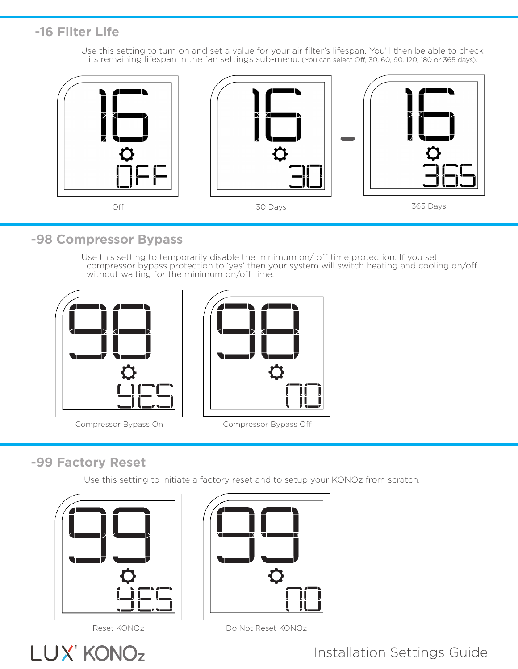## **-16 Filter Life**

Use this setting to turn on and set a value for your air filter's lifespan. You'll then be able to check its remaining lifespan in the fan settings sub-menu. (You can select Off, 30, 60, 90, 120, 180 or 365 days).



#### **-98 Compressor Bypass**

Use this setting to temporarily disable the minimum on/ off time protection. If you set compressor bypass protection to 'yes' then your system will switch heating and cooling on/off without waiting for the minimum on/off time.





Compressor Bypass On Compressor Bypass Off

## **-99 Factory Reset**

Use this setting to initiate a factory reset and to setup your KONOz from scratch.

![](_page_6_Picture_11.jpeg)

![](_page_6_Picture_13.jpeg)

![](_page_6_Picture_14.jpeg)

Reset KONOz Do Not Reset KONOz